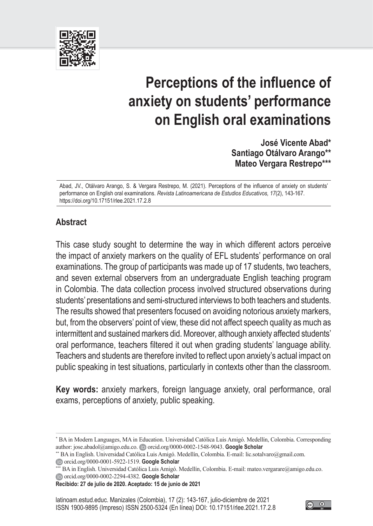

# **Perceptions of the influence of anxiety on students' performance on English oral examinations**

**José Vicente Abad\* Santiago Otálvaro Arango\*\* Mateo Vergara Restrepo\*\*\***

Abad, JV., Otálvaro Arango, S. & Vergara Restrepo, M. (2021). Perceptions of the influence of anxiety on students' performance on English oral examinations. *Revista Latinoamericana de Estudios Educativos, 17*(2), 143-167. [https://doi.org/10.17151/rlee.2021.17.2.](https://doi.org/10.17151/rlee.2021.17.2.8)8

# **Abstract**

This case study sought to determine the way in which different actors perceive the impact of anxiety markers on the quality of EFL students' performance on oral examinations. The group of participants was made up of 17 students, two teachers, and seven external observers from an undergraduate English teaching program in Colombia. The data collection process involved structured observations during students' presentations and semi-structured interviews to both teachers and students. The results showed that presenters focused on avoiding notorious anxiety markers, but, from the observers' point of view, these did not affect speech quality as much as intermittent and sustained markers did. Moreover, although anxiety affected students' oral performance, teachers filtered it out when grading students' language ability. Teachers and students are therefore invited to reflect upon anxiety's actual impact on public speaking in test situations, particularly in contexts other than the classroom.

**Key words:** anxiety markers, foreign language anxiety, oral performance, oral exams, perceptions of anxiety, public speaking.

\*\* BA in English. Universidad Católica Luis Amigó. Medellín, Colombia. E-mail: lic.sotalvaro@gmail.com. [orcid.org/0000-0001-5922-1519.](https://orcid.org/0000-0001-5922-1519) **[Google Scholar](https://scholar.google.es/citations?hl=es&user=wHVF-60AAAAJ)**

\*\*\* BA in English. Universidad Católica Luis Amigó. Medellín, Colombia. E-mail: mateo.vergarare@amigo.edu.co. [orcid.org/0000-0002-2294-4382.](https://orcid.org/0000-0002-2294-4382) **[Google Scholar](https://scholar.google.com/citations?hl=es&user=Z_BEztYAAAAJ)**

**Recibido: 27 de julio de 2020. Aceptado: 15 de junio de 2021**

 $\left( \cdot \right)$ 

<sup>\*</sup> BA in Modern Languages, MA in Education. Universidad Católica Luis Amigó. Medellín, Colombia. Corresponding author: jose.abadol@amigo.edu.co. D[orcid.org/0000-0002-1548-9043.](https://orcid.org/0000-0002-1548-9043) **[Google Scholar](https://scholar.google.com/citations?hl=es&user=trVcxggAAAAJ)**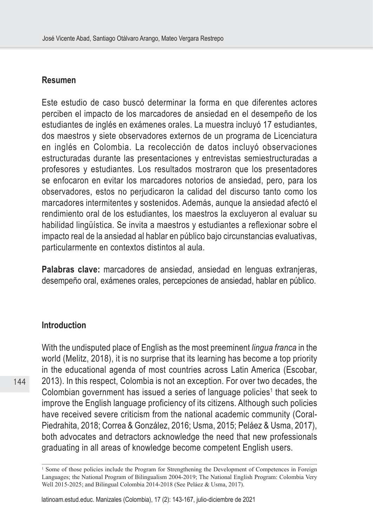#### **Resumen**

Este estudio de caso buscó determinar la forma en que diferentes actores perciben el impacto de los marcadores de ansiedad en el desempeño de los estudiantes de inglés en exámenes orales. La muestra incluyó 17 estudiantes, dos maestros y siete observadores externos de un programa de Licenciatura en inglés en Colombia. La recolección de datos incluyó observaciones estructuradas durante las presentaciones y entrevistas semiestructuradas a profesores y estudiantes. Los resultados mostraron que los presentadores se enfocaron en evitar los marcadores notorios de ansiedad, pero, para los observadores, estos no perjudicaron la calidad del discurso tanto como los marcadores intermitentes y sostenidos. Además, aunque la ansiedad afectó el rendimiento oral de los estudiantes, los maestros la excluyeron al evaluar su habilidad lingüística. Se invita a maestros y estudiantes a reflexionar sobre el impacto real de la ansiedad al hablar en público bajo circunstancias evaluativas, particularmente en contextos distintos al aula.

**Palabras clave:** marcadores de ansiedad, ansiedad en lenguas extranjeras, desempeño oral, exámenes orales, percepciones de ansiedad, hablar en público.

## **Introduction**

With the undisputed place of English as the most preeminent *lingua franca* in the world (Melitz, 2018), it is no surprise that its learning has become a top priority in the educational agenda of most countries across Latin America (Escobar, 2013). In this respect, Colombia is not an exception. For over two decades, the Colombian government has issued a series of language policies<sup>1</sup> that seek to improve the English language proficiency of its citizens. Although such policies have received severe criticism from the national academic community (Coral-Piedrahita, 2018; Correa & González, 2016; Usma, 2015; Peláez & Usma, 2017), both advocates and detractors acknowledge the need that new professionals graduating in all areas of knowledge become competent English users.

<sup>&</sup>lt;sup>1</sup> Some of those policies include the Program for Strengthening the Development of Competences in Foreign Languages; the National Program of Bilingualism 2004-2019; The National English Program: Colombia Very Well 2015-2025; and Bilingual Colombia 2014-2018 (See Peláez & Usma, 2017).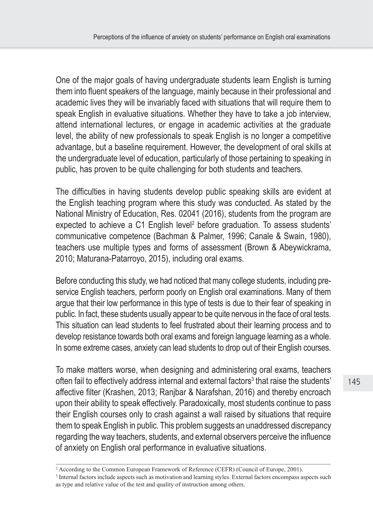One of the major goals of having undergraduate students learn English is turning them into fluent speakers of the language, mainly because in their professional and academic lives they will be invariably faced with situations that will require them to speak English in evaluative situations. Whether they have to take a job interview, attend international lectures, or engage in academic activities at the graduate level, the ability of new professionals to speak English is no longer a competitive advantage, but a baseline requirement. However, the development of oral skills at the undergraduate level of education, particularly of those pertaining to speaking in public, has proven to be quite challenging for both students and teachers.

The difficulties in having students develop public speaking skills are evident at the English teaching program where this study was conducted. As stated by the National Ministry of Education, Res. 02041 (2016), students from the program are expected to achieve a C1 English level<sup>2</sup> before graduation. To assess students' communicative competence (Bachman & Palmer, 1996; Canale & Swain, 1980), teachers use multiple types and forms of assessment (Brown & Abeywickrama, 2010; Maturana-Patarroyo, 2015), including oral exams.

Before conducting this study, we had noticed that many college students, including preservice English teachers, perform poorly on English oral examinations. Many of them argue that their low performance in this type of tests is due to their fear of speaking in public. In fact, these students usually appear to be quite nervous in the face of oral tests. This situation can lead students to feel frustrated about their learning process and to develop resistance towards both oral exams and foreign language learning as a whole. In some extreme cases, anxiety can lead students to drop out of their English courses.

To make matters worse, when designing and administering oral exams, teachers often fail to effectively address internal and external factors<sup>3</sup> that raise the students' affective filter (Krashen, 2013; Ranjbar & Narafshan, 2016) and thereby encroach upon their ability to speak effectively. Paradoxically, most students continue to pass their English courses only to crash against a wall raised by situations that require them to speak English in public. This problem suggests an unaddressed discrepancy regarding the way teachers, students, and external observers perceive the influence of anxiety on English oral performance in evaluative situations.

<sup>2</sup> According to the Common European Framework of Reference (CEFR) (Council of Europe, 2001).

<sup>&</sup>lt;sup>3</sup> Internal factors include aspects such as motivation and learning styles. External factors encompass aspects such as type and relative value of the test and quality of instruction among others.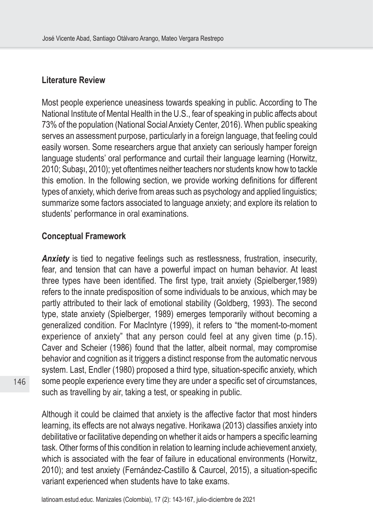## **Literature Review**

Most people experience uneasiness towards speaking in public. According to The National Institute of Mental Health in the U.S., fear of speaking in public affects about 73% of the population (National Social Anxiety Center, 2016). When public speaking serves an assessment purpose, particularly in a foreign language, that feeling could easily worsen. Some researchers argue that anxiety can seriously hamper foreign language students' oral performance and curtail their language learning (Horwitz, 2010; Subaşı, 2010); yet oftentimes neither teachers nor students know how to tackle this emotion. In the following section, we provide working definitions for different types of anxiety, which derive from areas such as psychology and applied linguistics; summarize some factors associated to language anxiety; and explore its relation to students' performance in oral examinations.

## **Conceptual Framework**

*Anxiety* is tied to negative feelings such as restlessness, frustration, insecurity, fear, and tension that can have a powerful impact on human behavior. At least three types have been identified. The first type, trait anxiety (Spielberger,1989) refers to the innate predisposition of some individuals to be anxious, which may be partly attributed to their lack of emotional stability (Goldberg, 1993). The second type, state anxiety (Spielberger, 1989) emerges temporarily without becoming a generalized condition. For MacIntyre (1999), it refers to "the moment-to-moment experience of anxiety" that any person could feel at any given time (p.15). Caver and Scheier (1986) found that the latter, albeit normal, may compromise behavior and cognition as it triggers a distinct response from the automatic nervous system. Last, Endler (1980) proposed a third type, situation-specific anxiety, which some people experience every time they are under a specific set of circumstances, such as travelling by air, taking a test, or speaking in public.

Although it could be claimed that anxiety is the affective factor that most hinders learning, its effects are not always negative. Horikawa (2013) classifies anxiety into debilitative or facilitative depending on whether it aids or hampers a specific learning task. Other forms of this condition in relation to learning include achievement anxiety, which is associated with the fear of failure in educational environments (Horwitz, 2010); and test anxiety (Fernández-Castillo & Caurcel, 2015), a situation-specific variant experienced when students have to take exams.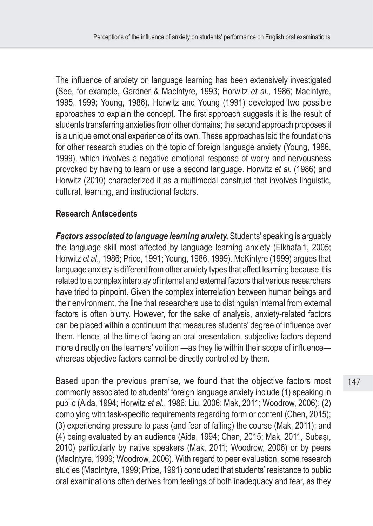The influence of anxiety on language learning has been extensively investigated (See, for example, Gardner & MacIntyre, 1993; Horwitz *et al*., 1986; MacIntyre, 1995, 1999; Young, 1986). Horwitz and Young (1991) developed two possible approaches to explain the concept. The first approach suggests it is the result of students transferring anxieties from other domains; the second approach proposes it is a unique emotional experience of its own. These approaches laid the foundations for other research studies on the topic of foreign language anxiety (Young, 1986, 1999), which involves a negative emotional response of worry and nervousness provoked by having to learn or use a second language. Horwitz *et al.* (1986) and Horwitz (2010) characterized it as a multimodal construct that involves linguistic, cultural, learning, and instructional factors.

# **Research Antecedents**

*Factors associated to language learning anxiety.* Students' speaking is arguably the language skill most affected by language learning anxiety (Elkhafaifi, 2005; Horwitz *et al*., 1986; Price, 1991; Young, 1986, 1999). McKintyre (1999) argues that language anxiety is different from other anxiety types that affect learning because it is related to a complex interplay of internal and external factors that various researchers have tried to pinpoint. Given the complex interrelation between human beings and their environment, the line that researchers use to distinguish internal from external factors is often blurry. However, for the sake of analysis, anxiety-related factors can be placed within a continuum that measures students' degree of influence over them. Hence, at the time of facing an oral presentation, subjective factors depend more directly on the learners' volition —as they lie within their scope of influence whereas objective factors cannot be directly controlled by them.

Based upon the previous premise, we found that the objective factors most commonly associated to students' foreign language anxiety include (1) speaking in public (Aida, 1994; Horwitz *et al*., 1986; Liu, 2006; Mak, 2011; Woodrow, 2006); (2) complying with task-specific requirements regarding form or content (Chen, 2015); (3) experiencing pressure to pass (and fear of failing) the course (Mak, 2011); and (4) being evaluated by an audience (Aida, 1994; Chen, 2015; Mak, 2011, Subaşı, 2010) particularly by native speakers (Mak, 2011; Woodrow, 2006) or by peers (MacIntyre, 1999; Woodrow, 2006). With regard to peer evaluation, some research studies (MacIntyre, 1999; Price, 1991) concluded that students' resistance to public oral examinations often derives from feelings of both inadequacy and fear, as they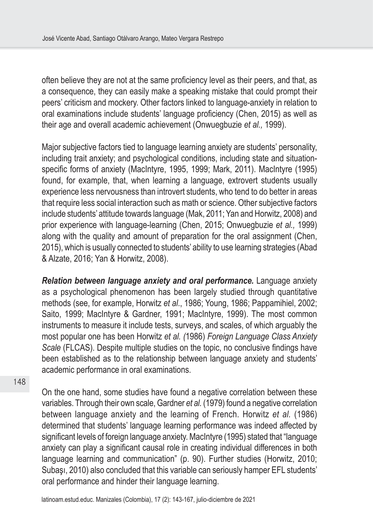often believe they are not at the same proficiency level as their peers, and that, as a consequence, they can easily make a speaking mistake that could prompt their peers' criticism and mockery. Other factors linked to language-anxiety in relation to oral examinations include students' language proficiency (Chen, 2015) as well as their age and overall academic achievement (Onwuegbuzie *et al.,* 1999).

Major subjective factors tied to language learning anxiety are students' personality, including trait anxiety; and psychological conditions, including state and situationspecific forms of anxiety (MacIntyre, 1995, 1999; Mark, 2011). MacIntyre (1995) found, for example, that, when learning a language, extrovert students usually experience less nervousness than introvert students, who tend to do better in areas that require less social interaction such as math or science. Other subjective factors include students' attitude towards language (Mak, 2011; Yan and Horwitz, 2008) and prior experience with language-learning (Chen, 2015; Onwuegbuzie *et al.,* 1999) along with the quality and amount of preparation for the oral assignment (Chen, 2015), which is usually connected to students' ability to use learning strategies (Abad & Alzate, 2016; Yan & Horwitz, 2008).

*Relation between language anxiety and oral performance.* Language anxiety as a psychological phenomenon has been largely studied through quantitative methods (see, for example, Horwitz *et al*., 1986; Young, 1986; Pappamihiel, 2002; Saito, 1999; MacIntyre & Gardner, 1991; MacIntyre, 1999). The most common instruments to measure it include tests, surveys, and scales, of which arguably the most popular one has been Horwitz *et al. (*1986) *Foreign Language Class Anxiety Scale* (FLCAS). Despite multiple studies on the topic, no conclusive findings have been established as to the relationship between language anxiety and students' academic performance in oral examinations.

On the one hand, some studies have found a negative correlation between these variables. Through their own scale, Gardner *et al.* (1979) found a negative correlation between language anxiety and the learning of French. Horwitz *et al.* (1986) determined that students' language learning performance was indeed affected by significant levels of foreign language anxiety. MacIntyre (1995) stated that "language anxiety can play a significant causal role in creating individual differences in both language learning and communication" (p. 90). Further studies (Horwitz, 2010; Subaşı, 2010) also concluded that this variable can seriously hamper EFL students' oral performance and hinder their language learning.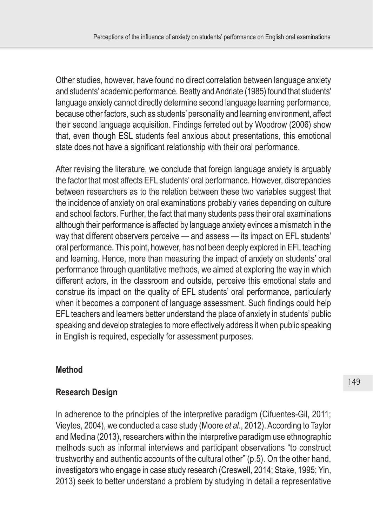Other studies, however, have found no direct correlation between language anxiety and students' academic performance. Beatty and Andriate (1985) found that students' language anxiety cannot directly determine second language learning performance, because other factors, such as students' personality and learning environment, affect their second language acquisition. Findings ferreted out by Woodrow (2006) show that, even though ESL students feel anxious about presentations, this emotional state does not have a significant relationship with their oral performance.

After revising the literature, we conclude that foreign language anxiety is arguably the factor that most affects EFL students' oral performance. However, discrepancies between researchers as to the relation between these two variables suggest that the incidence of anxiety on oral examinations probably varies depending on culture and school factors. Further, the fact that many students pass their oral examinations although their performance is affected by language anxiety evinces a mismatch in the way that different observers perceive — and assess — its impact on EFL students' oral performance. This point, however, has not been deeply explored in EFL teaching and learning. Hence, more than measuring the impact of anxiety on students' oral performance through quantitative methods, we aimed at exploring the way in which different actors, in the classroom and outside, perceive this emotional state and construe its impact on the quality of EFL students' oral performance, particularly when it becomes a component of language assessment. Such findings could help EFL teachers and learners better understand the place of anxiety in students' public speaking and develop strategies to more effectively address it when public speaking in English is required, especially for assessment purposes.

# **Method**

# **Research Design**

In adherence to the principles of the interpretive paradigm (Cifuentes-Gil, 2011; Vieytes, 2004), we conducted a case study (Moore *et al*., 2012). According to Taylor and Medina (2013), researchers within the interpretive paradigm use ethnographic methods such as informal interviews and participant observations "to construct trustworthy and authentic accounts of the cultural other" (p.5). On the other hand, investigators who engage in case study research (Creswell, 2014; Stake, 1995; Yin, 2013) seek to better understand a problem by studying in detail a representative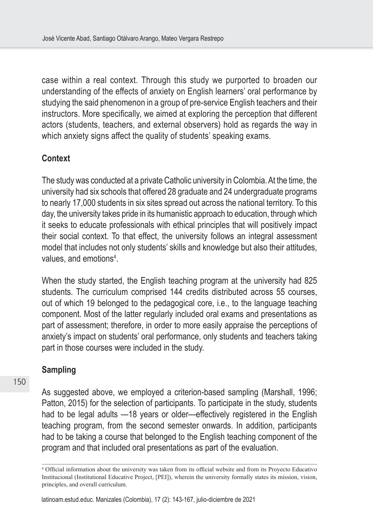case within a real context. Through this study we purported to broaden our understanding of the effects of anxiety on English learners' oral performance by studying the said phenomenon in a group of pre-service English teachers and their instructors. More specifically, we aimed at exploring the perception that different actors (students, teachers, and external observers) hold as regards the way in which anxiety signs affect the quality of students' speaking exams.

## **Context**

The study was conducted at a private Catholic university in Colombia. At the time, the university had six schools that offered 28 graduate and 24 undergraduate programs to nearly 17,000 students in six sites spread out across the national territory. To this day, the university takes pride in its humanistic approach to education, through which it seeks to educate professionals with ethical principles that will positively impact their social context. To that effect, the university follows an integral assessment model that includes not only students' skills and knowledge but also their attitudes, values, and emotions<sup>4</sup>.

When the study started, the English teaching program at the university had 825 students. The curriculum comprised 144 credits distributed across 55 courses, out of which 19 belonged to the pedagogical core, i.e., to the language teaching component. Most of the latter regularly included oral exams and presentations as part of assessment; therefore, in order to more easily appraise the perceptions of anxiety's impact on students' oral performance, only students and teachers taking part in those courses were included in the study.

# **Sampling**

As suggested above, we employed a criterion-based sampling (Marshall, 1996; Patton, 2015) for the selection of participants. To participate in the study, students had to be legal adults —18 years or older—effectively registered in the English teaching program, from the second semester onwards. In addition, participants had to be taking a course that belonged to the English teaching component of the program and that included oral presentations as part of the evaluation.

<sup>4</sup> Official information about the university was taken from its official website and from its Proyecto Educativo Institucional (Institutional Educative Project, [PEI]), wherein the university formally states its mission, vision, principles, and overall curriculum.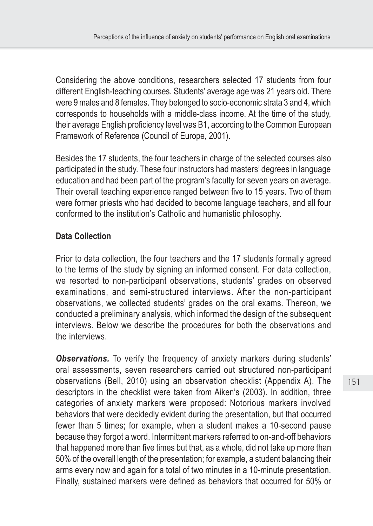Considering the above conditions, researchers selected 17 students from four different English-teaching courses. Students' average age was 21 years old. There were 9 males and 8 females. They belonged to socio-economic strata 3 and 4, which corresponds to households with a middle-class income. At the time of the study, their average English proficiency level was B1, according to the Common European Framework of Reference (Council of Europe, 2001).

Besides the 17 students, the four teachers in charge of the selected courses also participated in the study. These four instructors had masters' degrees in language education and had been part of the program's faculty for seven years on average. Their overall teaching experience ranged between five to 15 years. Two of them were former priests who had decided to become language teachers, and all four conformed to the institution's Catholic and humanistic philosophy.

# **Data Collection**

Prior to data collection, the four teachers and the 17 students formally agreed to the terms of the study by signing an informed consent. For data collection, we resorted to non-participant observations, students' grades on observed examinations, and semi-structured interviews. After the non-participant observations, we collected students' grades on the oral exams. Thereon, we conducted a preliminary analysis, which informed the design of the subsequent interviews. Below we describe the procedures for both the observations and the interviews.

**Observations.** To verify the frequency of anxiety markers during students' oral assessments, seven researchers carried out structured non-participant observations (Bell, 2010) using an observation checklist (Appendix A). The descriptors in the checklist were taken from Aiken's (2003). In addition, three categories of anxiety markers were proposed: Notorious markers involved behaviors that were decidedly evident during the presentation, but that occurred fewer than 5 times; for example, when a student makes a 10-second pause because they forgot a word. Intermittent markers referred to on-and-off behaviors that happened more than five times but that, as a whole, did not take up more than 50% of the overall length of the presentation; for example, a student balancing their arms every now and again for a total of two minutes in a 10-minute presentation. Finally, sustained markers were defined as behaviors that occurred for 50% or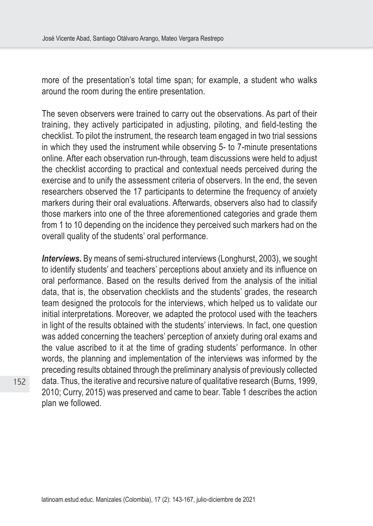more of the presentation's total time span; for example, a student who walks around the room during the entire presentation.

The seven observers were trained to carry out the observations. As part of their training, they actively participated in adjusting, piloting, and field-testing the checklist. To pilot the instrument, the research team engaged in two trial sessions in which they used the instrument while observing 5- to 7-minute presentations online. After each observation run-through, team discussions were held to adjust the checklist according to practical and contextual needs perceived during the exercise and to unify the assessment criteria of observers. In the end, the seven researchers observed the 17 participants to determine the frequency of anxiety markers during their oral evaluations. Afterwards, observers also had to classify those markers into one of the three aforementioned categories and grade them from 1 to 10 depending on the incidence they perceived such markers had on the overall quality of the students' oral performance.

*Interviews.* By means of semi-structured interviews (Longhurst, 2003), we sought to identify students' and teachers' perceptions about anxiety and its influence on oral performance. Based on the results derived from the analysis of the initial data, that is, the observation checklists and the students' grades, the research team designed the protocols for the interviews, which helped us to validate our initial interpretations. Moreover, we adapted the protocol used with the teachers in light of the results obtained with the students' interviews. In fact, one question was added concerning the teachers' perception of anxiety during oral exams and the value ascribed to it at the time of grading students' performance. In other words, the planning and implementation of the interviews was informed by the preceding results obtained through the preliminary analysis of previously collected data. Thus, the iterative and recursive nature of qualitative research (Burns, 1999, 2010; Curry, 2015) was preserved and came to bear. Table 1 describes the action plan we followed.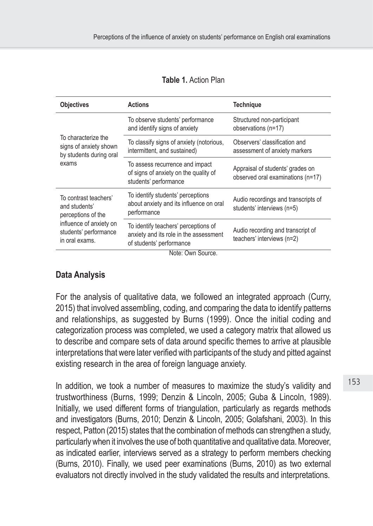| <b>Objectives</b><br><b>Actions</b>                                               |                                                                                                            | <b>Technique</b>                                                      |  |  |
|-----------------------------------------------------------------------------------|------------------------------------------------------------------------------------------------------------|-----------------------------------------------------------------------|--|--|
| To characterize the<br>signs of anxiety shown<br>by students during oral<br>exams | To observe students' performance<br>and identify signs of anxiety                                          | Structured non-participant<br>observations (n=17)                     |  |  |
|                                                                                   | To classify signs of anxiety (notorious,<br>intermittent, and sustained)                                   | Observers' classification and<br>assessment of anxiety markers        |  |  |
|                                                                                   | To assess recurrence and impact<br>of signs of anxiety on the quality of<br>students' performance          | Appraisal of students' grades on<br>observed oral examinations (n=17) |  |  |
| To contrast teachers'<br>and students'<br>perceptions of the                      | To identify students' perceptions<br>about anxiety and its influence on oral<br>performance                | Audio recordings and transcripts of<br>students' interviews (n=5)     |  |  |
| influence of anxiety on<br>students' performance<br>in oral exams.                | To identify teachers' perceptions of<br>anxiety and its role in the assessment<br>of students' performance | Audio recording and transcript of<br>teachers' interviews (n=2)       |  |  |
|                                                                                   | $N = 1$                                                                                                    |                                                                       |  |  |

| <b>Table 1. Action Plan</b> |  |  |
|-----------------------------|--|--|
|-----------------------------|--|--|

Note: Own Source.

# **Data Analysis**

For the analysis of qualitative data, we followed an integrated approach (Curry, 2015) that involved assembling, coding, and comparing the data to identify patterns and relationships, as suggested by Burns (1999). Once the initial coding and categorization process was completed, we used a category matrix that allowed us to describe and compare sets of data around specific themes to arrive at plausible interpretations that were later verified with participants of the study and pitted against existing research in the area of foreign language anxiety.

In addition, we took a number of measures to maximize the study's validity and trustworthiness (Burns, 1999; Denzin & Lincoln, 2005; Guba & Lincoln, 1989). Initially, we used different forms of triangulation, particularly as regards methods and investigators (Burns, 2010; Denzin & Lincoln, 2005; Golafshani, 2003). In this respect, Patton (2015) states that the combination of methods can strengthen a study, particularly when it involves the use of both quantitative and qualitative data. Moreover, as indicated earlier, interviews served as a strategy to perform members checking (Burns, 2010). Finally, we used peer examinations (Burns, 2010) as two external evaluators not directly involved in the study validated the results and interpretations.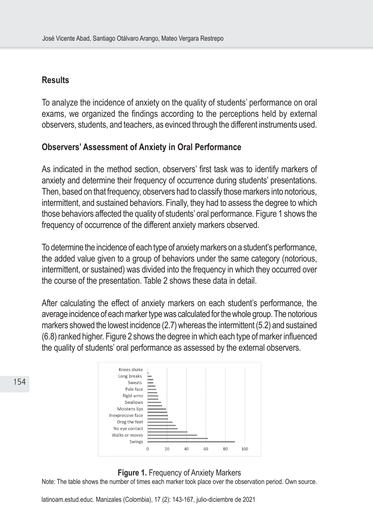## **Results**

154

To analyze the incidence of anxiety on the quality of students' performance on oral exams, we organized the findings according to the perceptions held by external observers, students, and teachers, as evinced through the different instruments used.

## **Observers' Assessment of Anxiety in Oral Performance**

As indicated in the method section, observers' first task was to identify markers of anxiety and determine their frequency of occurrence during students' presentations. Then, based on that frequency, observers had to classify those markers into notorious, intermittent, and sustained behaviors. Finally, they had to assess the degree to which those behaviors affected the quality of students' oral performance. Figure 1 shows the frequency of occurrence of the different anxiety markers observed.

To determine the incidence of each type of anxiety markers on a student's performance, the added value given to a group of behaviors under the same category (notorious, intermittent, or sustained) was divided into the frequency in which they occurred over the course of the presentation. Table 2 shows these data in detail.

After calculating the effect of anxiety markers on each student's performance, the average incidence of each marker type was calculated for the whole group. The notorious markers showed the lowest incidence (2.7) whereas the intermittent (5.2) and sustained (6.8) ranked higher. Figure 2 shows the degree in which each type of marker influenced the quality of students' oral performance as assessed by the external observers.

| Knees shake       |    |          |    |     |  |
|-------------------|----|----------|----|-----|--|
| Long breaks       |    |          |    |     |  |
| Sweats            |    |          |    |     |  |
| Pale face         |    |          |    |     |  |
| Rigid arms        |    |          |    |     |  |
| Swallows          |    |          |    |     |  |
| Moistens lips     |    |          |    |     |  |
| Inexpressive face |    |          |    |     |  |
| Drag the feet     |    |          |    |     |  |
| No eye contact    |    |          |    |     |  |
| Walks or moves    |    |          |    |     |  |
| Swings            |    |          |    |     |  |
|                   | 20 | 60<br>40 | 80 | 100 |  |
|                   |    |          |    |     |  |

#### **Figure 1.** Frequency of Anxiety Markers

Note: The table shows the number of times each marker took place over the observation period. Own source.

latinoam.estud.educ. Manizales (Colombia), 17 (2): 143-167, julio-diciembre de 2021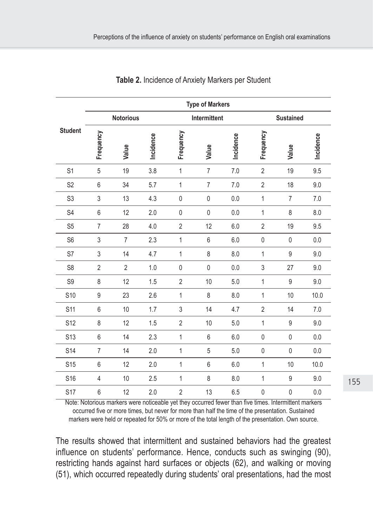|                 | <b>Type of Markers</b> |                  |           |                |                |           |                  |                  |           |  |
|-----------------|------------------------|------------------|-----------|----------------|----------------|-----------|------------------|------------------|-----------|--|
|                 |                        | <b>Notorious</b> |           |                | Intermittent   |           |                  | <b>Sustained</b> |           |  |
| <b>Student</b>  | Frequency              | Value            | Incidence | Frequency      | Value          | Incidence | Frequency        | Value            | Incidence |  |
| S <sub>1</sub>  | 5                      | 19               | 3.8       | $\mathbf{1}$   | $\overline{7}$ | 7.0       | $\overline{2}$   | 19               | 9.5       |  |
| S <sub>2</sub>  | 6                      | 34               | 5.7       | $\mathbf{1}$   | $\overline{7}$ | 7.0       | $\overline{2}$   | 18               | 9.0       |  |
| S <sub>3</sub>  | 3                      | 13               | 4.3       | $\pmb{0}$      | $\mathbf 0$    | 0.0       | 1                | $\overline{7}$   | 7.0       |  |
| S <sub>4</sub>  | 6                      | 12               | 2.0       | 0              | $\pmb{0}$      | 0.0       | $\mathbf{1}$     | 8                | 8.0       |  |
| S <sub>5</sub>  | $\overline{7}$         | 28               | 4.0       | $\overline{2}$ | 12             | 6.0       | $\overline{2}$   | 19               | 9.5       |  |
| S <sub>6</sub>  | 3                      | $\overline{7}$   | 2.3       | $\mathbf 1$    | 6              | 6.0       | $\pmb{0}$        | 0                | 0.0       |  |
| S7              | $\mathfrak{Z}$         | 14               | 4.7       | $\mathbf{1}$   | 8              | 8.0       | $\mathbf{1}$     | 9                | 9.0       |  |
| S <sub>8</sub>  | $\overline{2}$         | $\overline{2}$   | 1.0       | $\mathbf 0$    | $\mathbf{0}$   | 0.0       | 3                | 27               | 9.0       |  |
| S9              | 8                      | 12               | 1.5       | $\overline{2}$ | 10             | 5.0       | $\mathbf 1$      | 9                | 9.0       |  |
| S <sub>10</sub> | 9                      | 23               | 2.6       | $\mathbf 1$    | 8              | 8.0       | 1                | 10               | 10.0      |  |
| S11             | 6                      | 10               | 1.7       | 3              | 14             | 4.7       | $\overline{2}$   | 14               | 7.0       |  |
| S12             | 8                      | 12               | 1.5       | $\overline{2}$ | 10             | 5.0       | 1                | 9                | 9.0       |  |
| S <sub>13</sub> | $6\,$                  | 14               | 2.3       | $\mathbf{1}$   | $6\,$          | 6.0       | $\pmb{0}$        | 0                | 0.0       |  |
| S <sub>14</sub> | $\overline{7}$         | 14               | 2.0       | $\mathbf{1}$   | 5              | 5.0       | $\boldsymbol{0}$ | $\mathbf 0$      | 0.0       |  |
| <b>S15</b>      | $6\,$                  | 12               | 2.0       | $\mathbf{1}$   | 6              | 6.0       | 1                | 10               | 10.0      |  |
| S <sub>16</sub> | $\overline{4}$         | 10               | 2.5       | $\mathbf{1}$   | 8              | 8.0       | 1                | 9                | 9.0       |  |
| <b>S17</b>      | 6                      | 12               | 2.0       | $\overline{2}$ | 13             | 6.5       | $\pmb{0}$        | $\pmb{0}$        | 0.0       |  |

**Table 2.** Incidence of Anxiety Markers per Student

Note: Notorious markers were noticeable yet they occurred fewer than five times. Intermittent markers occurred five or more times, but never for more than half the time of the presentation. Sustained markers were held or repeated for 50% or more of the total length of the presentation. Own source.

The results showed that intermittent and sustained behaviors had the greatest influence on students' performance. Hence, conducts such as swinging (90), restricting hands against hard surfaces or objects (62), and walking or moving (51), which occurred repeatedly during students' oral presentations, had the most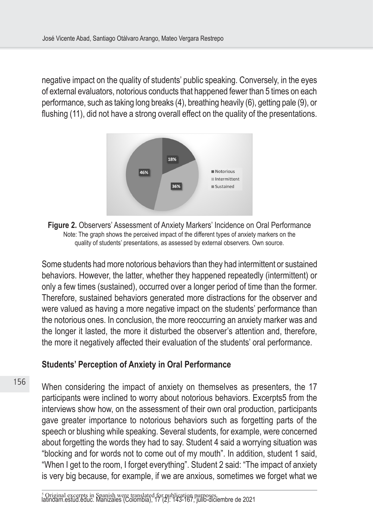negative impact on the quality of students' public speaking. Conversely, in the eyes of external evaluators, notorious conducts that happened fewer than 5 times on each performance, such as taking long breaks (4), breathing heavily (6), getting pale (9), or flushing (11), did not have a strong overall effect on the quality of the presentations.



**Figure 2.** Observers' Assessment of Anxiety Markers' Incidence on Oral Performance Note: The graph shows the perceived impact of the different types of anxiety markers on the quality of students' presentations, as assessed by external observers. Own source.

Some students had more notorious behaviors than they had intermittent or sustained behaviors. However, the latter, whether they happened repeatedly (intermittent) or only a few times (sustained), occurred over a longer period of time than the former. Therefore, sustained behaviors generated more distractions for the observer and were valued as having a more negative impact on the students' performance than the notorious ones. In conclusion, the more reoccurring an anxiety marker was and the longer it lasted, the more it disturbed the observer's attention and, therefore, the more it negatively affected their evaluation of the students' oral performance.

## **Students' Perception of Anxiety in Oral Performance**

When considering the impact of anxiety on themselves as presenters, the 17 participants were inclined to worry about notorious behaviors. Excerpts5 from the interviews show how, on the assessment of their own oral production, participants gave greater importance to notorious behaviors such as forgetting parts of the speech or blushing while speaking. Several students, for example, were concerned about forgetting the words they had to say. Student 4 said a worrying situation was "blocking and for words not to come out of my mouth". In addition, student 1 said, "When I get to the room, I forget everything". Student 2 said: "The impact of anxiety is very big because, for example, if we are anxious, sometimes we forget what we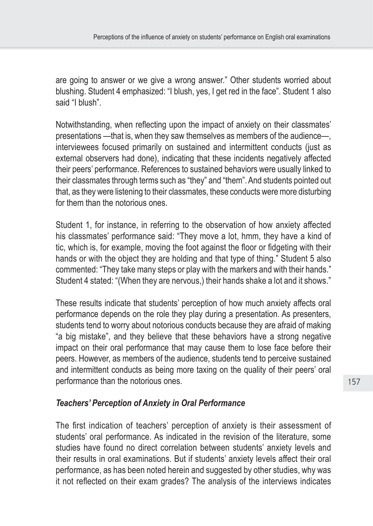are going to answer or we give a wrong answer." Other students worried about blushing. Student 4 emphasized: "I blush, yes, I get red in the face". Student 1 also said "I blush".

Notwithstanding, when reflecting upon the impact of anxiety on their classmates' presentations —that is, when they saw themselves as members of the audience—, interviewees focused primarily on sustained and intermittent conducts (just as external observers had done), indicating that these incidents negatively affected their peers' performance. References to sustained behaviors were usually linked to their classmates through terms such as "they" and "them". And students pointed out that, as they were listening to their classmates, these conducts were more disturbing for them than the notorious ones.

Student 1, for instance, in referring to the observation of how anxiety affected his classmates' performance said: "They move a lot, hmm, they have a kind of tic, which is, for example, moving the foot against the floor or fidgeting with their hands or with the object they are holding and that type of thing." Student 5 also commented: "They take many steps or play with the markers and with their hands." Student 4 stated: "(When they are nervous,) their hands shake a lot and it shows."

These results indicate that students' perception of how much anxiety affects oral performance depends on the role they play during a presentation. As presenters, students tend to worry about notorious conducts because they are afraid of making "a big mistake", and they believe that these behaviors have a strong negative impact on their oral performance that may cause them to lose face before their peers. However, as members of the audience, students tend to perceive sustained and intermittent conducts as being more taxing on the quality of their peers' oral performance than the notorious ones.

# *Teachers' Perception of Anxiety in Oral Performance*

The first indication of teachers' perception of anxiety is their assessment of students' oral performance. As indicated in the revision of the literature, some studies have found no direct correlation between students' anxiety levels and their results in oral examinations. But if students' anxiety levels affect their oral performance, as has been noted herein and suggested by other studies, why was it not reflected on their exam grades? The analysis of the interviews indicates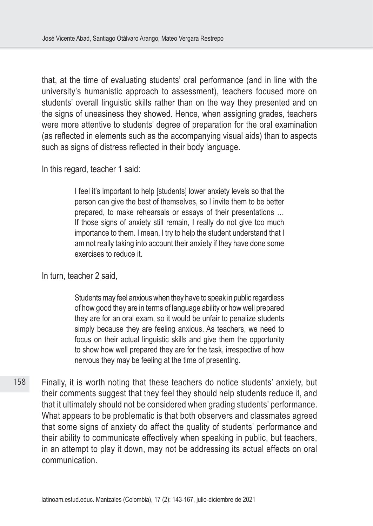that, at the time of evaluating students' oral performance (and in line with the university's humanistic approach to assessment), teachers focused more on students' overall linguistic skills rather than on the way they presented and on the signs of uneasiness they showed. Hence, when assigning grades, teachers were more attentive to students' degree of preparation for the oral examination (as reflected in elements such as the accompanying visual aids) than to aspects such as signs of distress reflected in their body language.

In this regard, teacher 1 said:

I feel it's important to help [students] lower anxiety levels so that the person can give the best of themselves, so I invite them to be better prepared, to make rehearsals or essays of their presentations … If those signs of anxiety still remain, I really do not give too much importance to them. I mean, I try to help the student understand that I am not really taking into account their anxiety if they have done some exercises to reduce it.

In turn, teacher 2 said,

Students may feel anxious when they have to speak in public regardless of how good they are in terms of language ability or how well prepared they are for an oral exam, so it would be unfair to penalize students simply because they are feeling anxious. As teachers, we need to focus on their actual linguistic skills and give them the opportunity to show how well prepared they are for the task, irrespective of how nervous they may be feeling at the time of presenting.

158 Finally, it is worth noting that these teachers do notice students' anxiety, but their comments suggest that they feel they should help students reduce it, and that it ultimately should not be considered when grading students' performance. What appears to be problematic is that both observers and classmates agreed that some signs of anxiety do affect the quality of students' performance and their ability to communicate effectively when speaking in public, but teachers, in an attempt to play it down, may not be addressing its actual effects on oral communication.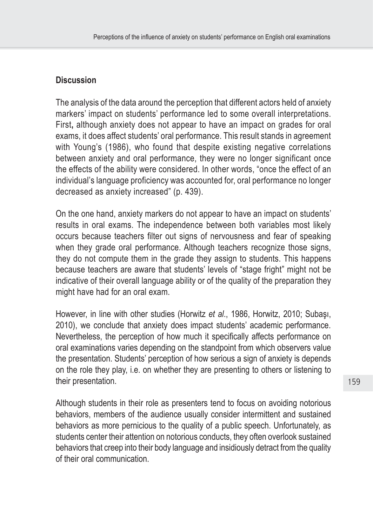## **Discussion**

The analysis of the data around the perception that different actors held of anxiety markers' impact on students' performance led to some overall interpretations. First**,** although anxiety does not appear to have an impact on grades for oral exams, it does affect students' oral performance. This result stands in agreement with Young's (1986), who found that despite existing negative correlations between anxiety and oral performance, they were no longer significant once the effects of the ability were considered. In other words, "once the effect of an individual's language proficiency was accounted for, oral performance no longer decreased as anxiety increased" (p. 439).

On the one hand, anxiety markers do not appear to have an impact on students' results in oral exams. The independence between both variables most likely occurs because teachers filter out signs of nervousness and fear of speaking when they grade oral performance. Although teachers recognize those signs, they do not compute them in the grade they assign to students. This happens because teachers are aware that students' levels of "stage fright" might not be indicative of their overall language ability or of the quality of the preparation they might have had for an oral exam.

However, in line with other studies (Horwitz *et al*., 1986, Horwitz, 2010; Subaşı, 2010), we conclude that anxiety does impact students' academic performance. Nevertheless, the perception of how much it specifically affects performance on oral examinations varies depending on the standpoint from which observers value the presentation. Students' perception of how serious a sign of anxiety is depends on the role they play, i.e. on whether they are presenting to others or listening to their presentation.

Although students in their role as presenters tend to focus on avoiding notorious behaviors, members of the audience usually consider intermittent and sustained behaviors as more pernicious to the quality of a public speech. Unfortunately, as students center their attention on notorious conducts, they often overlook sustained behaviors that creep into their body language and insidiously detract from the quality of their oral communication.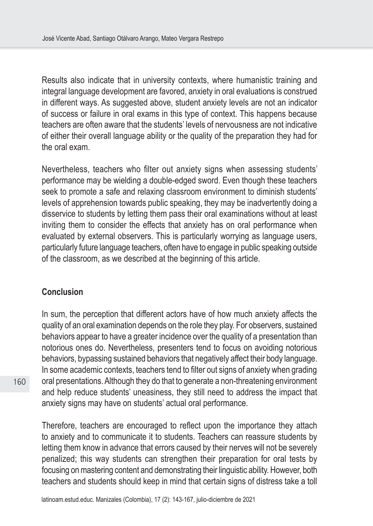Results also indicate that in university contexts, where humanistic training and integral language development are favored, anxiety in oral evaluations is construed in different ways. As suggested above, student anxiety levels are not an indicator of success or failure in oral exams in this type of context. This happens because teachers are often aware that the students' levels of nervousness are not indicative of either their overall language ability or the quality of the preparation they had for the oral exam.

Nevertheless, teachers who filter out anxiety signs when assessing students' performance may be wielding a double-edged sword. Even though these teachers seek to promote a safe and relaxing classroom environment to diminish students' levels of apprehension towards public speaking, they may be inadvertently doing a disservice to students by letting them pass their oral examinations without at least inviting them to consider the effects that anxiety has on oral performance when evaluated by external observers. This is particularly worrying as language users, particularly future language teachers, often have to engage in public speaking outside of the classroom, as we described at the beginning of this article.

#### **Conclusion**

In sum, the perception that different actors have of how much anxiety affects the quality of an oral examination depends on the role they play. For observers, sustained behaviors appear to have a greater incidence over the quality of a presentation than notorious ones do. Nevertheless, presenters tend to focus on avoiding notorious behaviors, bypassing sustained behaviors that negatively affect their body language. In some academic contexts, teachers tend to filter out signs of anxiety when grading oral presentations. Although they do that to generate a non-threatening environment and help reduce students' uneasiness, they still need to address the impact that anxiety signs may have on students' actual oral performance.

Therefore, teachers are encouraged to reflect upon the importance they attach to anxiety and to communicate it to students. Teachers can reassure students by letting them know in advance that errors caused by their nerves will not be severely penalized; this way students can strengthen their preparation for oral tests by focusing on mastering content and demonstrating their linguistic ability. However, both teachers and students should keep in mind that certain signs of distress take a toll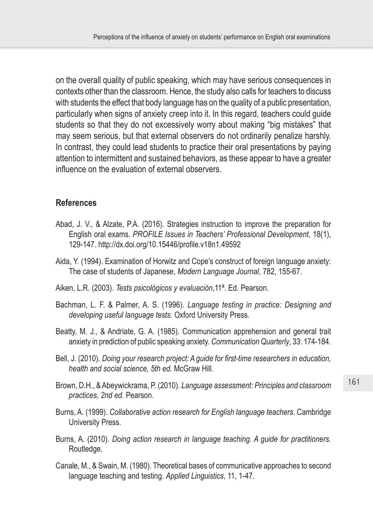on the overall quality of public speaking, which may have serious consequences in contexts other than the classroom. Hence, the study also calls for teachers to discuss with students the effect that body language has on the quality of a public presentation, particularly when signs of anxiety creep into it. In this regard, teachers could guide students so that they do not excessively worry about making "big mistakes" that may seem serious, but that external observers do not ordinarily penalize harshly. In contrast, they could lead students to practice their oral presentations by paying attention to intermittent and sustained behaviors, as these appear to have a greater influence on the evaluation of external observers.

## **References**

- Abad, J. V., & Alzate, P.A. (2016). Strategies instruction to improve the preparation for English oral exams. *PROFILE Issues in Teachers' Professional Development*, 18(1), 129-147.<http://dx.doi.org/10.15446/profile.v18n1.49592>
- Aida, Y. (1994). Examination of Horwitz and Cope's construct of foreign language anxiety: The case of students of Japanese, *Modern Language Journal,* 782, 155-67.
- Aiken, L.R. (2003). *Tests psicológicos y evaluación*,11ª. Ed. Pearson.
- Bachman, L. F. & Palmer, A. S. (1996). *Language testing in practice: Designing and developing useful language tests.* Oxford University Press.
- Beatty, M. J., & Andriate, G. A. (1985). Communication apprehension and general trait anxiety in prediction of public speaking anxiety. *Communication Quarterly*, 33: 174-184.
- Bell, J. (2010). *Doing your research project: A guide for first-time researchers in education, health and social science, 5th ed.* McGraw Hill.
- Brown, D.H., & Abeywickrama, P. (2010). *Language assessment: Principles and classroom practices, 2nd ed.* Pearson.
- Burns, A. (1999). *Collaborative action research for English language teachers*. Cambridge University Press.
- Burns, A. (2010). *Doing action research in language teaching. A guide for practitioners*. Routledge.
- Canale, M., & Swain, M. (1980). Theoretical bases of communicative approaches to second language teaching and testing. *Applied Linguistics*, 11, 1-47.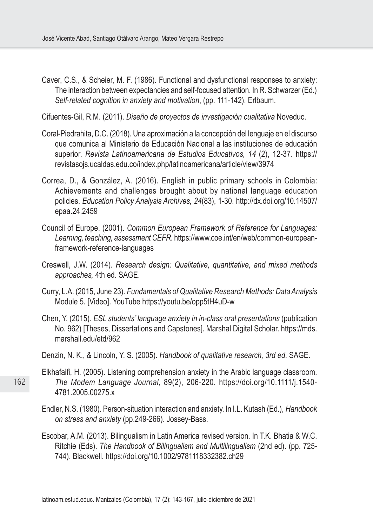- Caver, C.S., & Scheier, M. F. (1986). Functional and dysfunctional responses to anxiety: The interaction between expectancies and self-focused attention. In R. Schwarzer (Ed.) *Self-related cognition in anxiety and motivation*, (pp. 111-142). Erlbaum.
- Cifuentes-Gil, R.M. (2011). *Diseño de proyectos de investigación cualitativa* Noveduc.
- Coral-Piedrahita, D.C. (2018). Una aproximación a la concepción del lenguaje en el discurso que comunica al Ministerio de Educación Nacional a las instituciones de educación superior. *Revista Latinoamericana de Estudios Educativos, 14* (2), 12-37. [https://](https://revistasojs.ucaldas.edu.co/index.php/latinoamericana/article/view/3974) [revistasojs.ucaldas.edu.co/index.php/latinoamericana/article/view/3974](https://revistasojs.ucaldas.edu.co/index.php/latinoamericana/article/view/3974)
- Correa, D., & González, A. (2016). English in public primary schools in Colombia: Achievements and challenges brought about by national language education policies. *Education Policy Analysis Archives, 24*(83), 1-30. [http://dx.doi.org/10.14507/](http://dx.doi.org/10.14507/epaa.24.2459) [epaa.24.2459](http://dx.doi.org/10.14507/epaa.24.2459)
- Council of Europe. (2001). *Common European Framework of Reference for Languages: Learning, teaching, assessment CEFR*. [https://www.coe.int/en/web/common-european](https://www.coe.int/en/web/common-european-framework-reference-languages)[framework-reference-languages](https://www.coe.int/en/web/common-european-framework-reference-languages)
- Creswell, J.W. (2014). *Research design: Qualitative, quantitative, and mixed methods approaches,* 4th ed. SAGE.
- Curry, L.A. (2015, June 23). *Fundamentals of Qualitative Research Methods: Data Analysis*  Module 5. [Video]. YouTube <https://youtu.be/opp5tH4uD-w>
- Chen, Y. (2015). *ESL students' language anxiety in in-class oral presentations* (publication No. 962) [Theses, Dissertations and Capstones]. Marshal Digital Scholar. [https://mds.](https://mds.marshall.edu/etd/962) [marshall.edu/etd/962](https://mds.marshall.edu/etd/962)
- Denzin, N. K., & Lincoln, Y. S. (2005). *Handbook of qualitative research, 3rd ed*. SAGE.
- Elkhafaifi, H. (2005). Listening comprehension anxiety in the Arabic language classroom. *The Modem Language Journal*, 89(2), 206-220. [https://doi.org/10.1111/j.1540-](https://doi.org/10.1111/j.1540-4781.2005.00275.x) [4781.2005.00275.x](https://doi.org/10.1111/j.1540-4781.2005.00275.x)
- Endler, N.S. (1980). Person-situation interaction and anxiety. In I.L. Kutash (Ed.), *Handbook on stress and anxiety* (pp.249-266). Jossey-Bass.
- Escobar, A.M. (2013). Bilingualism in Latin America revised version. In T.K. Bhatia & W.C. Ritchie (Eds). *The Handbook of Bilingualism and Multilingualism* (2nd ed). (pp. 725- 744). Blackwell. <https://doi.org/10.1002/9781118332382.ch29>

162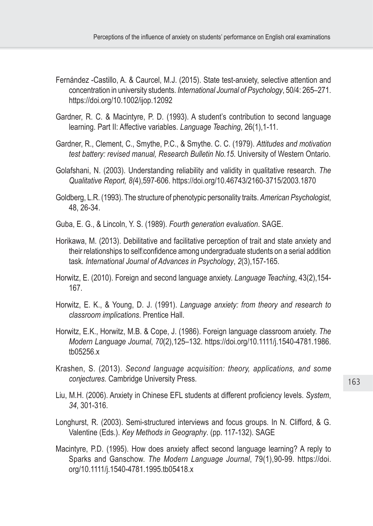- Fernández -Castillo, A. & Caurcel, M.J. (2015). State test-anxiety, selective attention and concentration in university students. *International Journal of Psychology*, 50/4: 265–271. <https://doi.org/10.1002/ijop.12092>
- Gardner, R. C. & Macintyre, P. D. (1993). A student's contribution to second language learning. Part II: Affective variables. *Language Teaching*, 26(1),1-11.
- Gardner, R., Clement, C., Smythe, P.C., & Smythe. C. C. (1979). *Attitudes and motivation test battery: revised manual, Research Bulletin No.15*. University of Western Ontario.
- Golafshani, N. (2003). Understanding reliability and validity in qualitative research. *The Qualitative Report, 8(*4),597-606. <https://doi.org/10.46743/2160-3715/2003.1870>
- Goldberg, L.R. (1993). The structure of phenotypic personality traits. *American Psychologist*, 48, 26-34.
- Guba, E. G., & Lincoln, Y. S. (1989). *Fourth generation evaluation*. SAGE.
- Horikawa, M. (2013). Debilitative and facilitative perception of trait and state anxiety and their relationships to selfloonfidence among undergraduate students on a serial addition task. *International Journal of Advances in Psychology*, *2*(3),157-165.
- Horwitz, E. (2010). Foreign and second language anxiety. *Language Teaching*, 43(2),154- 167.
- Horwitz, E. K., & Young, D. J. (1991). *Language anxiety: from theory and research to classroom implications*. Prentice Hall.
- Horwitz, E.K., Horwitz, M.B. & Cope, J. (1986). Foreign language classroom anxiety. *The Modern Language Journal*, *70*(2),125–132. [https://doi.org/10.1111/j.1540-4781.1986.](https://doi.org/10.1111/j.1540-4781.1986.tb05256.x) [tb05256.x](https://doi.org/10.1111/j.1540-4781.1986.tb05256.x)
- Krashen, S. (2013). *Second language acquisition: theory, applications, and some conjectures*. Cambridge University Press.
- Liu, M.H. (2006). Anxiety in Chinese EFL students at different proficiency levels. *System*, *34*, 301-316.
- Longhurst, R. (2003). Semi-structured interviews and focus groups. In N. Clifford, & G. Valentine (Eds.). *Key Methods in Geography*. (pp. 117-132). SAGE
- Macintyre, P.D. (1995). How does anxiety affect second language learning? A reply to Sparks and Ganschow. *The Modern Language Journal*, 79(1),90-99. [https://doi.](https://doi.org/10.1111/j.1540-4781.1995.tb05418.x) [org/10.1111/j.1540-4781.1995.tb05418.x](https://doi.org/10.1111/j.1540-4781.1995.tb05418.x)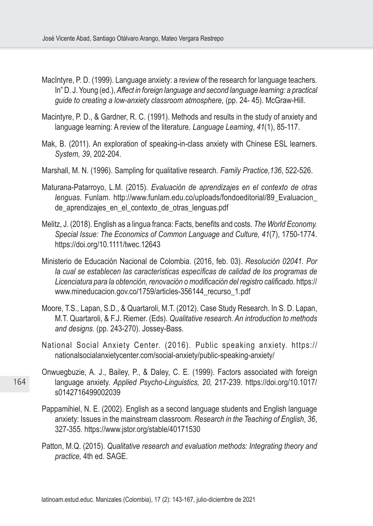- MacIntyre, P. D. (1999). Language anxiety: a review of the research for language teachers. In" D. J. Young (ed.), *Affect in foreign language and second language learning: a practical guide to creating a low-anxiety classroom atmosphere*, (pp. 24- 45). McGraw-Hill.
- Macintyre, P. D., & Gardner, R. C. (1991). Methods and results in the study of anxiety and language learning: A review of the literature. *Language Learning*, *41*(1), 85-117.
- Mak, B. (2011). An exploration of speaking-in-class anxiety with Chinese ESL learners. *System, 39*, 202-204.
- Marshall, M. N. (1996). Sampling for qualitative research. *Family Practice,136*, 522-526.
- Maturana-Patarroyo, L.M. (2015). *Evaluación de aprendizajes en el contexto de otras lenguas*. Funlam. [http://www.funlam.edu.co/uploads/fondoeditorial/89\\_Evaluacion\\_](http://www.funlam.edu.co/uploads/fondoeditorial/89_Evaluacion_de_aprendizajes_en_el_contexto_de_otras_lenguas.pdf) de aprendizajes en el contexto de otras lenguas.pdf
- Melitz, J. (2018). English as a lingua franca: Facts, benefits and costs. *The World Economy. Special Issue: The Economics of Common Language and Culture, 41*(7), 1750-1774. https://doi.org/10.1111/twec.12643
- Ministerio de Educación Nacional de Colombia. (2016, feb. 03). *Resolución 02041. Por la cual se establecen las características específicas de calidad de los programas de Licenciatura para la obtención, renovación o modificación del registro calificado*. [https://](https://www.mineducacion.gov.co/1759/articles-356144_recurso_1.pdf) [www.mineducacion.gov.co/1759/articles-356144\\_recurso\\_1.pdf](https://www.mineducacion.gov.co/1759/articles-356144_recurso_1.pdf)
- Moore, T.S., Lapan, S.D., & Quartaroli, M.T. (2012). Case Study Research. In S. D. Lapan, M.T. Quartaroli, & F.J. Riemer. (Eds). *Qualitative research. An introduction to methods and designs.* (pp. 243-270). Jossey-Bass.
- National Social Anxiety Center. (2016). Public speaking anxiety. [https://](https://nationalsocialanxietycenter.com/social-anxiety/public-speaking-anxiety/) [nationalsocialanxietycenter.com/social-anxiety/public-speaking-anxiety/](https://nationalsocialanxietycenter.com/social-anxiety/public-speaking-anxiety/)
- Onwuegbuzie, A. J., Bailey, P., & Daley, C. E. (1999). Factors associated with foreign language anxiety. *Applied Psycho-Linguistics, 20,* 217-239. [https://doi.org/10.1017/](https://doi.org/10.1017/s0142716499002039) [s0142716499002039](https://doi.org/10.1017/s0142716499002039)
- Pappamihiel, N. E. (2002). English as a second language students and English language anxiety: Issues in the mainstream classroom. *Research in the Teaching of English*, *36*, 327-355. https://www.jstor.org/stable/40171530
- Patton, M.Q. (2015). *Qualitative research and evaluation methods: Integrating theory and practice,* 4th ed. SAGE.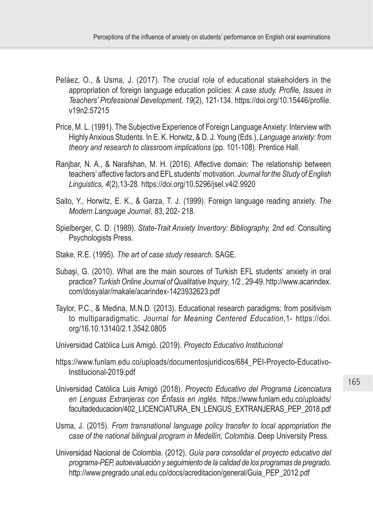- Peláez, O., & Usma, J. (2017). The crucial role of educational stakeholders in the appropriation of foreign language education policies: *A case study. Profile, Issues in Teachers' Professional Development, 19*(2), 121-134. [https://doi.org/10.15446/profile.](https://doi.org/10.15446/profile.v19n2.57215) [v19n2.57215](https://doi.org/10.15446/profile.v19n2.57215)
- Price, M. L. (1991). The Subjective Experience of Foreign Language Anxiety: Interview with Highly Anxious Students. In E. K. Horwitz, & D. J. Young (Eds.), *Language anxiety: from theory and research to classroom implications* (pp. 101-108). Prentice Hall.
- Ranjbar, N. A., & Narafshan, M. H. (2016). Affective domain: The relationship between teachers' affective factors and EFL students' motivation. *Journal for the Study of English Linguistics, 4*(2),13-28. <https://doi.org/10.5296/jsel.v4i2.9920>
- Saito, Y., Horwitz, E. K., & Garza, T. J. (1999). Foreign language reading anxiety. *The Modern Language Journal*, *83*, 202- 218.
- Spielberger, C. D. (1989). *State-Trait Anxiety Inventory: Bibliography, 2nd ed*. Consulting Psychologists Press.
- Stake, R.E. (1995). *The art of case study research.* SAGE.
- Subaşi, G. (2010). What are the main sources of Turkish EFL students' anxiety in oral practice? *Turkish Online Journal of Qualitative Inquiry*, 1/2 , 29-49. [http://www.acarindex.](http://www.acarindex.com/dosyalar/makale/acarindex-1423932623.pdf) [com/dosyalar/makale/acarindex-1423932623.pdf](http://www.acarindex.com/dosyalar/makale/acarindex-1423932623.pdf)
- Taylor, P.C., & Medina, M.N.D. (2013). Educational research paradigms: from positivism to multiparadigmatic. *Journal for Meaning Centered Education*,1- https://doi. org/16.10.13140/2.1.3542.0805
- Universidad Católica Luis Amigó. (2019). *Proyecto Educativo Institucional*
- [https://www.funlam.edu.co/uploads/documentosjuridicos/684\\_PEI-Proyecto-Educativo-](https://www.funlam.edu.co/uploads/documentosjuridicos/684_PEI-Proyecto-Educativo-Institucional-2019.pdf)[Institucional-2019.pdf](https://www.funlam.edu.co/uploads/documentosjuridicos/684_PEI-Proyecto-Educativo-Institucional-2019.pdf)
- Universidad Católica Luis Amigó (2018). *Proyecto Educativo del Programa Licenciatura en Lenguas Extranjeras con Énfasis en inglés.* [https://www.funlam.edu.co/uploads/](https://www.funlam.edu.co/uploads/facultadeducacion/402_LICENCIATURA_EN_LENGUS_EXTRANJERAS_PEP_2018.pdf) [facultadeducacion/402\\_LICENCIATURA\\_EN\\_LENGUS\\_EXTRANJERAS\\_PEP\\_2018.pdf](https://www.funlam.edu.co/uploads/facultadeducacion/402_LICENCIATURA_EN_LENGUS_EXTRANJERAS_PEP_2018.pdf)
- Usma, J. (2015). *From transnational language policy transfer to local appropriation the case of the national bilingual program in Medellín, Colombia*. Deep University Press.
- Universidad Nacional de Colombia. (2012). *Guía para consolidar el proyecto educativo del programa-PEP, autoevaluación y seguimiento de la calidad de los programas de pregrado*. [http://www.pregrado.unal.edu.co/docs/acreditacion/general/Guia\\_PEP\\_2012.pdf](http://www.pregrado.unal.edu.co/docs/acreditacion/general/Guia_PEP_2012.pdf)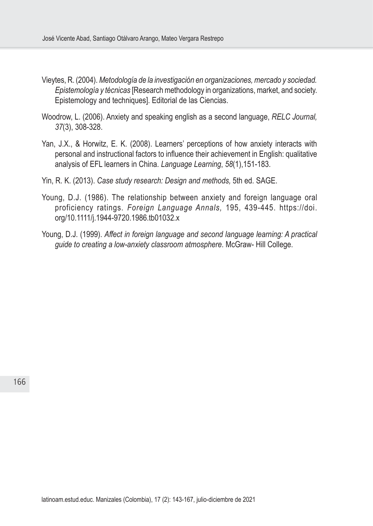- Vieytes, R. (2004). *Metodología de la investigación en organizaciones, mercado y sociedad. Epistemología y técnicas* [Research methodology in organizations, market, and society. Epistemology and techniques]. Editorial de las Ciencias.
- Woodrow, L. (2006). Anxiety and speaking english as a second language, *RELC Journal, 37*(3), 308-328.
- Yan, J.X., & Horwitz, E. K. (2008). Learners' perceptions of how anxiety interacts with personal and instructional factors to influence their achievement in English: qualitative analysis of EFL learners in China. *Language Learning*, *58*(1),151-183.
- Yin, R. K. (2013). *Case study research: Design and methods,* 5th ed. SAGE.
- Young, D.J. (1986). The relationship between anxiety and foreign language oral proficiency ratings. *Foreign Language Annals,* 195, 439-445. [https://doi.](https://doi.org/10.1111/j.1944-9720.1986.tb01032.x) [org/10.1111/j.1944-9720.1986.tb01032.x](https://doi.org/10.1111/j.1944-9720.1986.tb01032.x)
- Young, D.J. (1999). *Affect in foreign language and second language learning: A practical guide to creating a low-anxiety classroom atmosphere*. McGraw- Hill College.